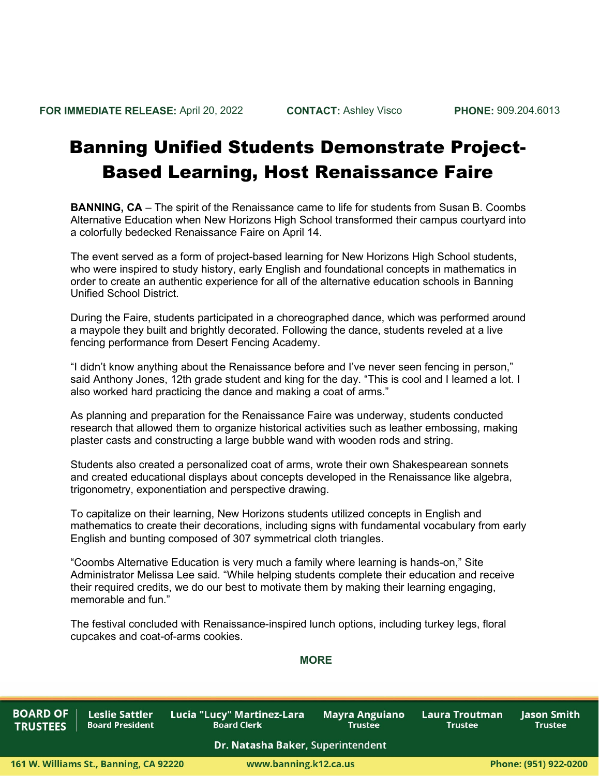## Banning Unified Students Demonstrate Project-Based Learning, Host Renaissance Faire

**BANNING, CA** – The spirit of the Renaissance came to life for students from Susan B. Coombs Alternative Education when New Horizons High School transformed their campus courtyard into a colorfully bedecked Renaissance Faire on April 14.

The event served as a form of project-based learning for New Horizons High School students, who were inspired to study history, early English and foundational concepts in mathematics in order to create an authentic experience for all of the alternative education schools in Banning Unified School District.

During the Faire, students participated in a choreographed dance, which was performed around a maypole they built and brightly decorated. Following the dance, students reveled at a live fencing performance from Desert Fencing Academy.

"I didn't know anything about the Renaissance before and I've never seen fencing in person," said Anthony Jones, 12th grade student and king for the day. "This is cool and I learned a lot. I also worked hard practicing the dance and making a coat of arms."

As planning and preparation for the Renaissance Faire was underway, students conducted research that allowed them to organize historical activities such as leather embossing, making plaster casts and constructing a large bubble wand with wooden rods and string.

Students also created a personalized coat of arms, wrote their own Shakespearean sonnets and created educational displays about concepts developed in the Renaissance like algebra, trigonometry, exponentiation and perspective drawing.

To capitalize on their learning, New Horizons students utilized concepts in English and mathematics to create their decorations, including signs with fundamental vocabulary from early English and bunting composed of 307 symmetrical cloth triangles.

"Coombs Alternative Education is very much a family where learning is hands-on," Site Administrator Melissa Lee said. "While helping students complete their education and receive their required credits, we do our best to motivate them by making their learning engaging, memorable and fun."

The festival concluded with Renaissance-inspired lunch options, including turkey legs, floral cupcakes and coat-of-arms cookies.

## **MORE**

**BOARD OF TRUSTEES** 

**Leslie Sattler** Lucia "Lucy" Martinez-Lara **Board President Board Clerk** 

**Mayra Anguiano Trustee** 

Laura Troutman **Trustee** 

**lason Smith Trustee** 

## Dr. Natasha Baker, Superintendent

www.banning.k12.ca.us